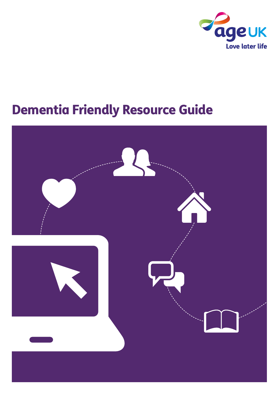

## Dementia Friendly Resource Guide

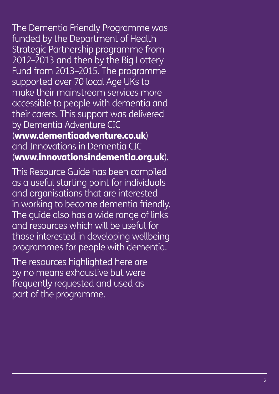The Dementia Friendly Programme was funded by the Department of Health Strategic Partnership programme from 2012–2013 and then by the Big Lottery Fund from 2013–2015. The programme supported over 70 local Age UKs to make their mainstream services more accessible to people with dementia and their carers. This support was delivered by Dementia Adventure CIC<br>(www.dementiaadventure.co.uk)<br>and Innovations in Dementia CIC (www.innovationsindementia.org.uk).

This Resource Guide has been compiled as a useful starting point for individuals and organisations that are interested in working to become dementia friendly. The guide also has a wide range of links and resources which will be useful for those interested in developing wellbeing programmes for people with dementia.

The resources highlighted here are by no means exhaustive but were frequently requested and used as part of the programme.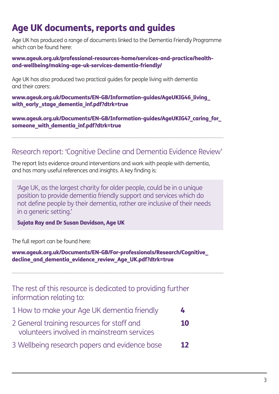## Age UK documents, reports and guides

Age UK has produced a range of documents linked to the Dementia Friendly Programme which can be found here:

[www.ageuk.org.uk/professional-resources-home/services-and-practice/health](www.ageuk.org.uk/professional-resources-home/services-and-practice/health-and-wellbeing/making-age-uk-services-dementia-friendly/)[and-wellbeing/making-age-uk-services-dementia-friendly/](www.ageuk.org.uk/professional-resources-home/services-and-practice/health-and-wellbeing/making-age-uk-services-dementia-friendly/)

Age UK has also produced two practical guides for people living with dementia and their carers:

[www.ageuk.org.uk/Documents/EN-GB/Information-guides/AgeUKIG46\\_living\\_](www.ageuk.org.uk/Documents/EN-GB/Information-guides/AgeUKIG46_living_with_early_stage_dementia_inf.pdf?dtrk=true) with early stage dementia inf.pdf?dtrk=true

[www.ageuk.org.uk/Documents/EN-GB/Information-guides/AgeUKIG47\\_caring\\_for\\_](www.ageuk.org.uk/Documents/EN-GB/Information-guides/AgeUKIG47_caring_for_someone_with_dementia_inf.pdf?dtrk=true) someone with dementia inf.pdf?dtrk=true

### Research report: 'Cognitive Decline and Dementia Evidence Review'

The report lists evidence around interventions and work with people with dementia, and has many useful references and insights. A key finding is:

'Age UK, as the largest charity for older people, could be in a unique position to provide dementia friendly support and services which do not define people by their dementia, rather are inclusive of their needs in a generic setting.'

Sujata Ray and Dr Susan Davidson, Age UK

The full report can be found here:

[www.ageuk.org.uk/Documents/EN-GB/For-professionals/Research/Cognitive\\_](www.ageuk.org.uk/Documents/EN-GB/For-professionals/Research/Cognitive_decline_and_dementia_evidence_review_Age_UK.pdf?dtrk=true) [decline\\_and\\_dementia\\_evidence\\_review\\_Age\\_UK.pdf?dtrk=true](www.ageuk.org.uk/Documents/EN-GB/For-professionals/Research/Cognitive_decline_and_dementia_evidence_review_Age_UK.pdf?dtrk=true) 

The rest of this resource is dedicated to providing further information relating to:

- 1 How to make your Age UK dementia friendly 4
- 2 General training resources for staff and 10 volunteers involved in mainstream services
- 3 Wellbeing research papers and evidence base 12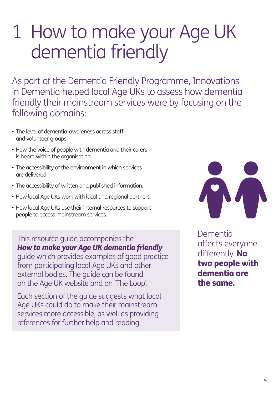# 1 How to make your Age UK dementia friendly

As part of the Dementia Friendly Programme, Innovations in Dementia helped local Age UKs to assess how dementia friendly their mainstream services were by focusing on the following domains:

- The level of dementia-awareness across staff and volunteer groups.
- How the voice of people with dementia and their carers is heard within the organisation.
- The accessibility of the environment in which services are delivered.
- The accessibility of written and published information.
- How local Age UKs work with local and regional partners.
- How local Age UKs use their internal resources to support people to access mainstream services.

This resource guide accompanies the *How to make your Age UK dementia friendly* 

guide which provides examples of good practice from participating local Age UKs and other external bodies. The guide can be found on the Age UK website and on 'The Loop'.

Each section of the guide suggests what local Age UKs could do to make their mainstream services more accessible, as well as providing references for further help and reading.



Dementia affects everyone differently. No two people with dementia are the same.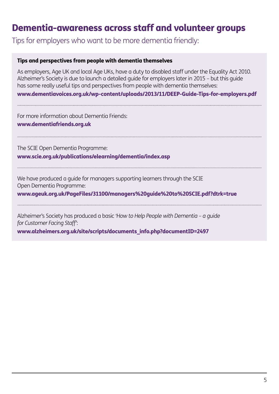## Dementia-awareness across staff and volunteer groups

Tips for employers who want to be more dementia friendly:

#### Tips and perspectives from people with dementia themselves

As employers, Age UK and local Age UKs, have a duty to disabled staff under the Equality Act 2010. Alzheimer's Society is due to launch a detailed guide for employers later in 2015 – but this guide has some really useful tips and perspectives from people with dementia themselves:

www.dementiavoices.org.uk/wp-content/uploads/2013/11/DEEP-Guide-Tips-for-employers.pdf

For more information about Dementia Friends: www.dementiafriends.org.uk

The SCIE Open Dementia Programme: www.scie.org.uk/publications/elearning/dementia/index.asp

We have produced a guide for managers supporting learners through the SCIE Open Dementia Programme:

www.ageuk.org.uk/PageFiles/31100/managers%20guide%20to%20SCIE.pdf?dtrk=true

Alzheimer's Society has produced a basic *'How to Help People with Dementia – a guide for Customer Facing Staff'*:

www.alzheimers.org.uk/site/scripts/documents\_info.php?documentID=2497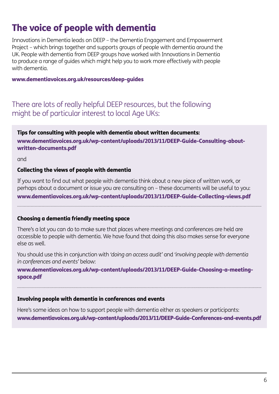## The voice of people with dementia

Innovations in Dementia leads on DEEP – the Dementia Engagement and Empowerment Project – which brings together and supports groups of people with dementia around the UK. People with dementia from DEEP groups have worked with Innovations in Dementia to produce a range of guides which might help you to work more effectively with people with dementia.

#### www.dementiavoices.org.uk/resources/deep-guides

#### There are lots of really helpful DEEP resources, but the following might be of particular interest to local Age UKs:

#### Tips for consulting with people with dementia about written documents: www.dementiavoices.org.uk/wp-content/uploads/2013/11/DEEP-Guide-Consulting-aboutwritten-documents.pdf

and

#### Collecting the views of people with dementia

If you want to find out what people with dementia think about a new piece of written work, or perhaps about a document or issue you are consulting on – these documents will be useful to you: www.dementiavoices.org.uk/wp-content/uploads/2013/11/DEEP-Guide-Collecting-views.pd[f](http://dementiavoices.org.uk/wp-content/uploads/2013/11/DEEP-Guide-Collecting-views.pdf)

#### Choosing a dementia friendly meeting space

There's a lot you can do to make sure that places where meetings and conferences are held are accessible to people with dementia. We have found that doing this also makes sense for everyone else as well.

You should use this in conjunction with *'doing an access audit'* and *'involving people with dementia in conferences and events'* below:

www.dementiavoices.org.uk/wp-content/uploads/2013/11/DEEP-Guide-Choosing-a-meetingspace.pdf

#### Involving people with dementia in conferences and events

Here's some ideas on how to support people with dementia either as speakers or participants: www.dementiavoices.org.uk/wp-content/uploads/2013/11/DEEP-Guide-Conferences-and-events.pdf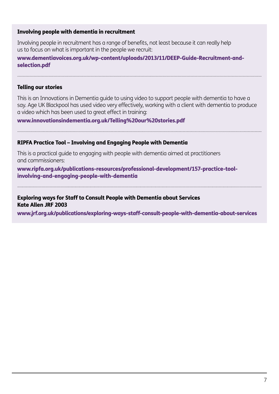#### Involving people with dementia in recruitment

Involving people in recruitment has a range of benefits, not least because it can really help us to focus on what is important in the people we recruit:

www.dementiavoices.org.uk/wp-content/uploads/2013/11/DEEP-Guide-Recruitment-andselection.pdf

#### Telling our stories

This is an Innovations in Dementia guide to using video to support people with dementia to have a say. Age UK Blackpool has used video very effectively, working with a client with dementia to produce a video which has been used to great effect in training:

www.innovationsindementia.org.uk/Telling%20our%20stories.pdf

#### RIPFA Practice Tool – Involving and Engaging People with Dementia

This is a practical guide to engaging with people with dementia aimed at practitioners and commissioners:

www.ripfa.org.uk/publications-resources/professional-development/157-practice-toolinvolving-and-engaging-people-with-dementia

#### Exploring ways for Staff to Consult People with Dementia about Services Kate Allen JRF 2003

www.jrf.org.uk/publications/exploring-ways-staff-consult-people-with-dementia-about-services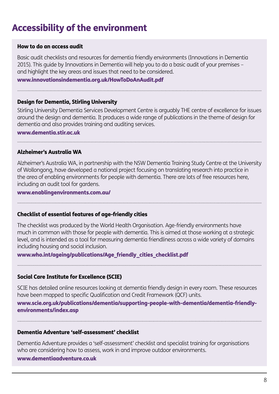## Accessibility of the environment

#### How to do an access audit

Basic audit checklists and resources for dementia friendly environments (Innovations in Dementia 2015). This guide by Innovations in Dementia will help you to do a basic audit of your premises – and highlight the key areas and issues that need to be considered.

#### [www.innovationsindementia.org.uk/HowToDoAnAudit.pdf](http://www.innovationsindementia.org.uk/HowToDoAnAudit.pdf)

#### Design for Dementia, Stirling University

Stirling University Dementia Services Development Centre is arguably THE centre of excellence for issues around the design and dementia. It produces a wide range of publications in the theme of design for dementia and also provides training and auditing services.

<www.dementia.stir.ac.uk>

#### Alzheimer's Australia WA

Alzheimer's Australia WA, in partnership with the NSW Dementia Training Study Centre at the University of Wollongong, have developed a national project focusing on translating research into practice in the area of enabling environments for people with dementia. There are lots of free resources here, including an audit tool for gardens.

[www.enablingenvironments.com.au/](http://www.enablingenvironments.com.au/)

#### Checklist of essential features of age-friendly cities

The checklist was produced by the World Health Organisation. Age-friendly environments have much in common with those for people with dementia. This is aimed at those working at a strategic level, and is intended as a tool for measuring dementia friendliness across a wide variety of domains including housing and social inclusion.

www.who.int/ageing/publications/Age\_friendly\_cities\_checklist.pdf

#### Social Care Institute for Excellence (SCIE)

SCIE has detailed online resources looking at dementia friendly design in every room. These resources have been mapped to specific Qualification and Credit Framework (QCF) units.

#### [www.scie.org.uk/publications/dementia/supporting-people-with-dementia/dementia-friendly](http://www.scie.org.uk/publications/dementia/supporting-people-with-dementia/dementia-friendly-environments/index.asp)[environments/index.asp](http://www.scie.org.uk/publications/dementia/supporting-people-with-dementia/dementia-friendly-environments/index.asp)

#### Dementia Adventure 'self-assessment' checklist

Dementia Adventure provides a 'self-assessment' checklist and specialist training for organisations who are considering how to assess, work in and improve outdoor environments.

#### [www.dementiaadventure.co.uk](http://www.dementiaadventure.co.uk/)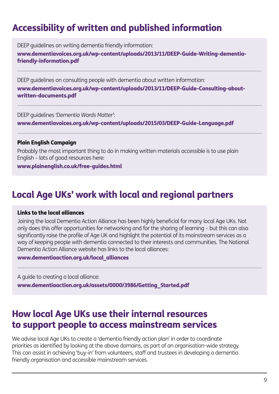## Accessibility of written and published information

DEEP guidelines on writing dementia friendly information:

www.dementiavoices.org.uk/wp-content/uploads/2013/11/DEEP-Guide-Writing-dementiafriendly-information.pdf

DEEP guidelines on consulting people with dementia about written information:

www.dementiavoices.org.uk/wp-content/uploads/2013/11/DEEP-Guide-Consulting-aboutwritten-documents.pdf

DEEP guidelines *'Dementia Words Matter'*: www.dementiavoices.org.uk/wp-content/uploads/2015/03/DEEP-Guide-Language.pdf

#### Plain English Campaign

Probably the most important thing to do in making written materials accessible is to use plain English – lots of good resources here:

www.plainenglish.co.uk/free-guides.html

## Local Age UKs' work with local and regional partners

#### Links to the local alliances

Joining the local Dementia Action Alliance has been highly beneficial for many local Age UKs. Not only does this offer opportunities for networking and for the sharing of learning – but this can also significantly raise the profile of Age UK and highlight the potential of its mainstream services as a way of keeping people with dementia connected to their interests and communities. The National Dementia Action Alliance website has links to the local alliances:

www.dementiaaction.org.uk/local\_alliances

A guide to creating a local alliance: www.dementiaaction.org.uk/assets/0000/3986/Getting\_Started.pdf

## How local Age UKs use their internal resources to support people to access mainstream services

We advise local Age UKs to create a 'dementia friendly action plan' in order to coordinate priorities as identified by looking at the above domains, as part of an organisation-wide strategy. This can assist in achieving 'buy-in' from volunteers, staff and trustees in developing a dementia friendly organisation and accessible mainstream services.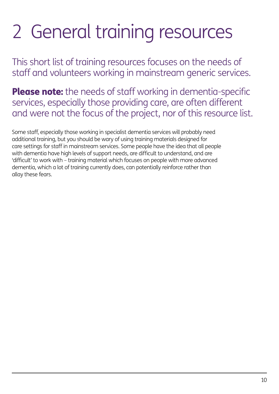# 2 General training resources

This short list of training resources focuses on the needs of staff and volunteers working in mainstream generic services.

Please note: the needs of staff working in dementia-specific services, especially those providing care, are often different and were not the focus of the project, nor of this resource list.

Some staff, especially those working in specialist dementia services will probably need additional training, but you should be wary of using training materials designed for care settings for staff in mainstream services. Some people have the idea that all people with dementia have high levels of support needs, are difficult to understand, and are 'difficult' to work with – training material which focuses on people with more advanced dementia, which a lot of training currently does, can potentially reinforce rather than allay these fears.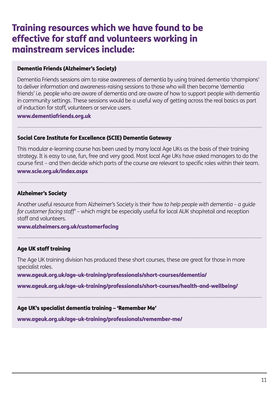## Training resources which we have found to be effective for staff and volunteers working in mainstream services include:

#### Dementia Friends (Alzheimer's Society)

Dementia Friends sessions aim to raise awareness of dementia by using trained dementia 'champions' to deliver information and awareness-raising sessions to those who will then become 'dementia friends' i.e. people who are aware of dementia and are aware of how to support people with dementia in community settings. These sessions would be a useful way of getting across the real basics as part of induction for staff, volunteers or service users.

#### <www.dementiafriends.org.uk>

#### Social Care Institute for Excellence (SCIE) Dementia Gateway

This modular e-learning course has been used by many local Age UKs as the basis of their training strategy. It is easy to use, fun, free and very good. Most local Age UKs have asked managers to do the course first – and then decide which parts of the course are relevant to specific roles within their team.

#### [www.scie.org.uk/index.aspx](http://www.scie.org.uk/index.aspx)

#### Alzheimer's Society

Another useful resource from Alzheimer's Society is their *'how to help people with dementia – a guide for customer facing staff'* – which might be especially useful for local AUK shop/retail and reception staff and volunteers.

#### [www.alzheimers.org.uk/customerfacing](http://www.alzheimers.org.uk/customerfacing)

#### Age UK staff training

The Age UK training division has produced these short courses, these are great for those in more specialist roles.

www.ageuk.org.uk/age-uk-training/professionals/short-courses/dementia[/](http://www.ageuk.org.uk/age-uk-training/professionals/short-courses/dementia/) 

www.ageuk.org.uk/age-uk-training/professionals/short-courses/health-and-wellbeing/

#### Age UK's specialist dementia training – 'Remember Me'

[www.ageuk.org.uk/age-uk-training/professionals/remember-me/](http://www.ageuk.org.uk/age-uk-training/professionals/remember-me/)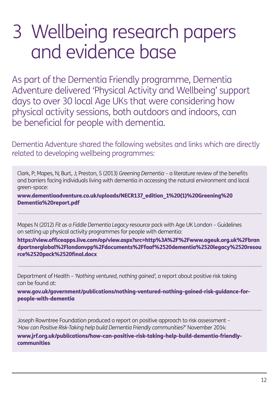# 3 Wellbeing research papers and evidence base

As part of the Dementia Friendly programme, Dementia Adventure delivered 'Physical Activity and Wellbeing' support days to over 30 local Age UKs that were considering how physical activity sessions, both outdoors and indoors, can be beneficial for people with dementia.

Dementia Adventure shared the following websites and links which are directly related to developing wellbeing programmes:

Clark, P; Mapes, N; Burt, J; Preston, S (2013) *Greening Dementia* – a literature review of the benefits and barriers facing individuals living with dementia in accessing the natural environment and local green-space:

[www.dementiaadventure.co.uk/uploads/NECR137\\_edition\\_1%20\(1\)%20Greening%20](www.dementiaadventure.co.uk/uploads/NECR137_edition_1%20(1)%20Greening%20Dementia%20report.pdf) [Dementia%20report.pdf](www.dementiaadventure.co.uk/uploads/NECR137_edition_1%20(1)%20Greening%20Dementia%20report.pdf)

Mapes N (2012) *Fit as a Fiddle Dementia Legacy* resource pack with Age UK London – Guidelines on setting up physical activity programmes for people with dementia:

[https://view.officeapps.live.com/op/view.aspx?src=http%3A%2F%2Fwww.ageuk.org.uk%2Fbran](https://view.officeapps.live.com/op/view.aspx?src=http%3A%2F%2Fwww.ageuk.org.uk%2Fbrandpartnerglobal%2Flondonvpp%2Fdocuments%2Ffaaf%2520dementia%2520legacy%2520resource%2520pack%2520final.docx) [dpartnerglobal%2Flondonvpp%2Fdocuments%2Ffaaf%2520dementia%2520legacy%2520resou](https://view.officeapps.live.com/op/view.aspx?src=http%3A%2F%2Fwww.ageuk.org.uk%2Fbrandpartnerglobal%2Flondonvpp%2Fdocuments%2Ffaaf%2520dementia%2520legacy%2520resource%2520pack%2520final.docx) [rce%2520pack%2520final.docx](https://view.officeapps.live.com/op/view.aspx?src=http%3A%2F%2Fwww.ageuk.org.uk%2Fbrandpartnerglobal%2Flondonvpp%2Fdocuments%2Ffaaf%2520dementia%2520legacy%2520resource%2520pack%2520final.docx) 

Department of Health – *'Nothing ventured, nothing gained'*, a report about positive risk taking can be found at:

[www.gov.uk/government/publications/nothing-ventured-nothing-gained-risk-guidance-for](www.gov.uk/government/publications/nothing-ventured-nothing-gained-risk-guidance-for-people-with-dementia)[people-with-dementia](www.gov.uk/government/publications/nothing-ventured-nothing-gained-risk-guidance-for-people-with-dementia) 

Joseph Rowntree Foundation produced a report on positive approach to risk assessment – *'How can Positive Risk-Taking help build Dementia Friendly communities?'* November 2014:

[www.jrf.org.uk/publications/how-can-positive-risk-taking-help-build-dementia-friendly](www.jrf.org.uk/publications/how-can-positive-risk-taking-help-build-dementia-friendly-communities)[communities](www.jrf.org.uk/publications/how-can-positive-risk-taking-help-build-dementia-friendly-communities)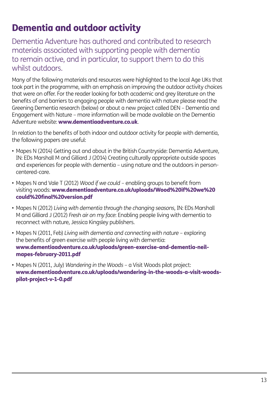## Dementia and outdoor activity

Dementia Adventure has authored and contributed to research materials associated with supporting people with dementia to remain active, and in particular, to support them to do this whilst outdoors.

Many of the following materials and resources were highlighted to the local Age UKs that took part in the programme, with an emphasis on improving the outdoor activity choices that were on offer. For the reader looking for both academic and grey literature on the benefits of and barriers to engaging people with dementia with nature please read the Greening Dementia research (below) or about a new project called DEN – Dementia and Engagement with Nature – more information will be made available on the Dementia Adventure website: www.dementiaadventure.co.uk.

In relation to the benefits of both indoor and outdoor activity for people with dementia, the following papers are useful:

- Mapes N (2014) Getting out and about in the British Countryside: Dementia Adventure, IN: EDs Marshall M and Gilliard J (2014) Creating culturally appropriate outside spaces and experiences for people with dementia – using nature and the outdoors in personcentered-care.
- Mapes N and Vale T (2012) *Wood if we could* enabling groups to benefit from visiting woods: [www.dementiaadventure.co.uk/uploads/Wood%20if%20we%20](www.dementiaadventure.co.uk/uploads/Wood%20if%20we%20could%20final%20version.pdf) [could%20final%20version.pdf](www.dementiaadventure.co.uk/uploads/Wood%20if%20we%20could%20final%20version.pdf)
- Mapes N (2012) *Living with dementia through the changing seasons*, IN: EDs Marshall M and Gilliard J (2012) *Fresh air on my face*: Enabling people living with dementia to reconnect with nature, Jessica Kingsley publishers.
- Mapes N (2011, Feb) *Living with dementia and connecting with nature* exploring the benefits of green exercise with people living with dementia: [www.dementiaadventure.co.uk/uploads/green-exercise-and-dementia-neil](www.dementiaadventure.co.uk/uploads/green-exercise-and-dementia-neil-mapes-february-2011.pdf)[mapes-february-2011.pdf](www.dementiaadventure.co.uk/uploads/green-exercise-and-dementia-neil-mapes-february-2011.pdf)
- Mapes N (2011, July) *Wandering in the Woods* a Visit Woods pilot project: www.dementiaadventure.co.uk/uploads/wandering-in-the-woods-a-visit-woodspilot-project-v-1-0.pdf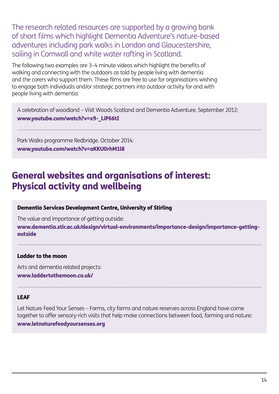The research related resources are supported by a growing bank of short films which highlight Dementia Adventure's nature-based adventures including park walks in London and Gloucestershire, sailing in Cornwall and white water rafting in Scotland.

The following two examples are 3–4 minute videos which highlight the benefits of walking and connecting with the outdoors as told by people living with dementia and the carers who support them. These films are free to use for organisations wishing to engage both individuals and/or strategic partners into outdoor activity for and with people living with dementia:

A celebration of woodland – Visit Woods Scotland and Dementia Adventure. September 2012: www.youtube.com/watch?v=x9- LiP66tI

Park Walks programme Redbridge. October 2014: www.youtube.com/watch?v=aKKU0rhM1l8

## General websites and organisations of interest: Physical activity and wellbeing

#### Dementia Services Development Centre, University of Stirling

The value and importance of getting outside:

[www.dementia.stir.ac.uk/design/virtual-environments/importance-design/importance-getting](www.dementia.stir.ac.uk/design/virtual-environments/importance-design/importance-getting-outside)[outside](www.dementia.stir.ac.uk/design/virtual-environments/importance-design/importance-getting-outside)

#### Ladder to the moon

Arts and dementia related projects: [www.laddertothemoon.co.uk/](http://www.laddertothemoon.co.uk/)

#### LEAF

Let Nature Feed Your Senses – Farms, city farms and nature reserves across England have come together to offer sensory-rich visits that help make connections between food, farming and nature: <www.letnaturefeedyoursenses.org>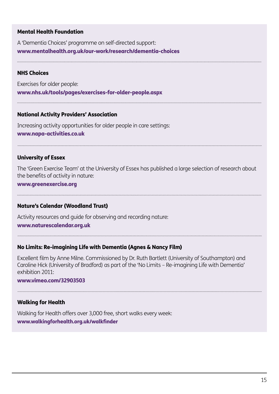#### Mental Health Foundation

A 'Dementia Choices' programme on self-directed support: www.mentalhealth.org.uk/our-work/research/dementia-choices

#### NHS Choices

Exercises for older people: www.nhs.uk/tools/pages/exercises-for-older-people.aspx

#### National Activity Providers' Association

Increasing activity opportunities for older people in care settings: www.napa-activities.co.uk

#### University of Essex

The 'Green Exercise Team' at the University of Essex has published a large selection of research about the benefits of activity in nature:

www.greenexercise.org

#### Nature's Calendar (Woodland Trust)

Activity resources and guide for observing and recording nature: www.naturescalendar.org.uk

#### No Limits: Re-imagining Life with Dementia (Agnes & Nancy Film)

Excellent film by Anne Milne. Commissioned by Dr. Ruth Bartlett (University of Southampton) and Caroline Hick (University of Bradford) as part of the 'No Limits – Re-imagining Life with Dementia' exhibition 2011:

#### www.vimeo.com/32903503

#### Walking for Health

Walking for Health offers over 3,000 free, short walks every week: [www.walkingforhealth.org.uk/walkfinder](http://www.walkingforhealth.org.uk/walkfinder)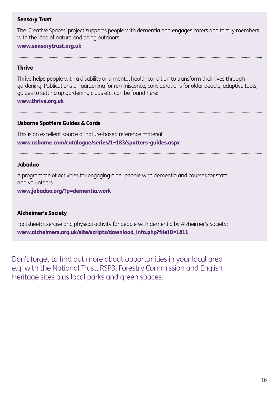#### Sensory Trust

The 'Creative Spaces' project supports people with dementia and engages carers and family members with the idea of nature and being outdoors:

#### [www.sensorytrust.org.uk](http://www.sensorytrust.org.uk/)

#### **Thrive**

Thrive helps people with a disability or a mental health condition to transform their lives through gardening. Publications on gardening for reminiscence, considerations for older people, adaptive tools, guides to setting up gardening clubs etc. can be found here:

#### [www.thrive.org.uk](http://www.thrive.org.uk/)

#### Usborne Spotters Guides & Cards

This is an excellent source of nature-based reference material: www.usborne.com/catalogue/series/1~183/spotters-guides.aspx

#### Jabadao

. . . . . . . . . . . . . . . . . . .

A programme of activities for engaging older people with dementia and courses for staff and volunteers:

#### www.jabadao.org/?p=dementia.work

#### Alzheimer's Society

Factsheet: Exercise and physical activity for people with dementia by Alzheimer's Society: [www.alzheimers.org.uk/site/scripts/download\\_info.php?fileID=1811](www.alzheimers.org.uk/site/scripts/download_info.php?fileID=1811)

Don't forget to find out more about opportunities in your local area e.g. with the National Trust, RSPB, Forestry Commission and English Heritage sites plus local parks and green spaces.